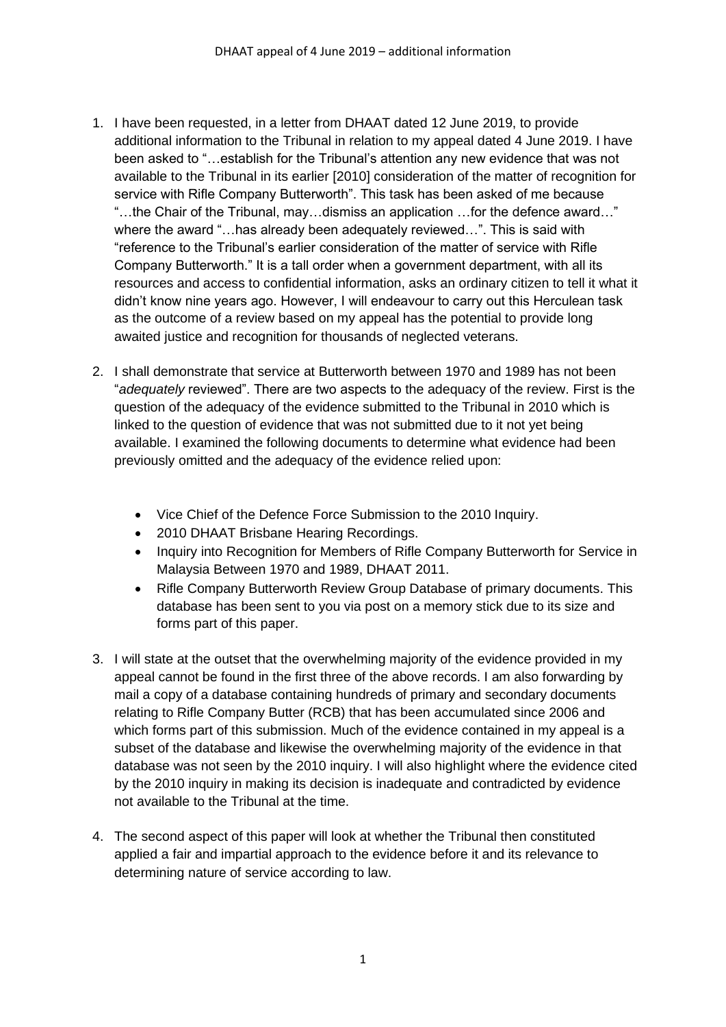- 1. I have been requested, in a letter from DHAAT dated 12 June 2019, to provide additional information to the Tribunal in relation to my appeal dated 4 June 2019. I have been asked to "…establish for the Tribunal's attention any new evidence that was not available to the Tribunal in its earlier [2010] consideration of the matter of recognition for service with Rifle Company Butterworth". This task has been asked of me because "…the Chair of the Tribunal, may…dismiss an application …for the defence award…" where the award "…has already been adequately reviewed…". This is said with "reference to the Tribunal's earlier consideration of the matter of service with Rifle Company Butterworth." It is a tall order when a government department, with all its resources and access to confidential information, asks an ordinary citizen to tell it what it didn't know nine years ago. However, I will endeavour to carry out this Herculean task as the outcome of a review based on my appeal has the potential to provide long awaited justice and recognition for thousands of neglected veterans.
- 2. I shall demonstrate that service at Butterworth between 1970 and 1989 has not been "*adequately* reviewed". There are two aspects to the adequacy of the review. First is the question of the adequacy of the evidence submitted to the Tribunal in 2010 which is linked to the question of evidence that was not submitted due to it not yet being available. I examined the following documents to determine what evidence had been previously omitted and the adequacy of the evidence relied upon:
	- Vice Chief of the Defence Force Submission to the 2010 Inquiry.
	- 2010 DHAAT Brisbane Hearing Recordings.
	- Inquiry into Recognition for Members of Rifle Company Butterworth for Service in Malaysia Between 1970 and 1989, DHAAT 2011.
	- Rifle Company Butterworth Review Group Database of primary documents. This database has been sent to you via post on a memory stick due to its size and forms part of this paper.
- 3. I will state at the outset that the overwhelming majority of the evidence provided in my appeal cannot be found in the first three of the above records. I am also forwarding by mail a copy of a database containing hundreds of primary and secondary documents relating to Rifle Company Butter (RCB) that has been accumulated since 2006 and which forms part of this submission. Much of the evidence contained in my appeal is a subset of the database and likewise the overwhelming majority of the evidence in that database was not seen by the 2010 inquiry. I will also highlight where the evidence cited by the 2010 inquiry in making its decision is inadequate and contradicted by evidence not available to the Tribunal at the time.
- 4. The second aspect of this paper will look at whether the Tribunal then constituted applied a fair and impartial approach to the evidence before it and its relevance to determining nature of service according to law.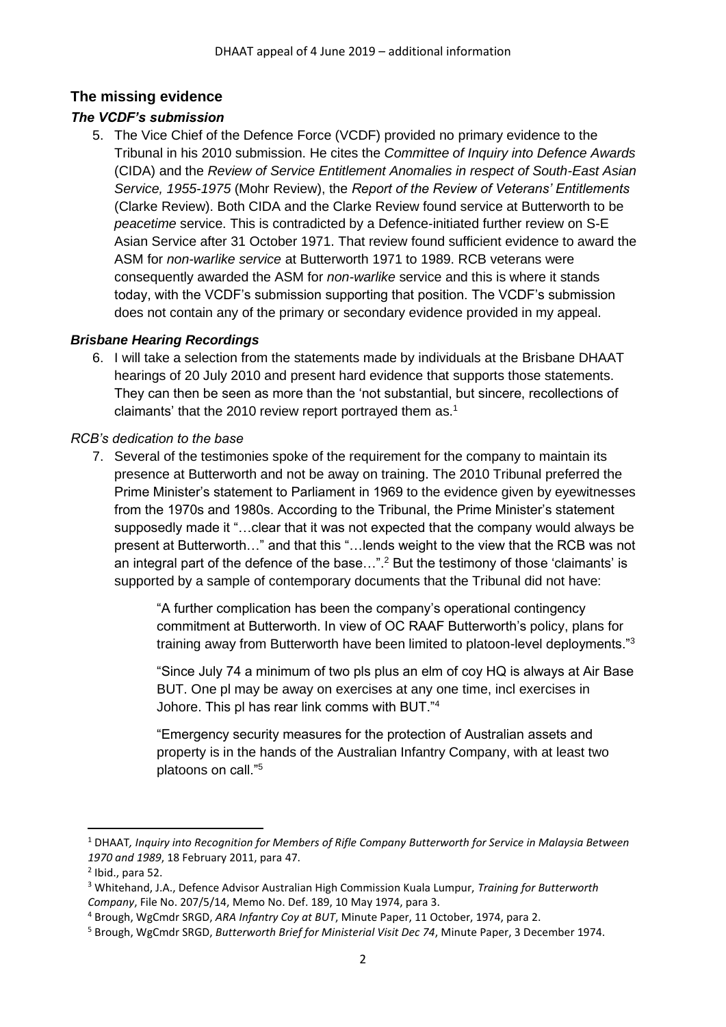# **The missing evidence**

# *The VCDF's submission*

5. The Vice Chief of the Defence Force (VCDF) provided no primary evidence to the Tribunal in his 2010 submission. He cites the *Committee of Inquiry into Defence Awards* (CIDA) and the *Review of Service Entitlement Anomalies in respect of South-East Asian Service, 1955-1975* (Mohr Review), the *Report of the Review of Veterans' Entitlements* (Clarke Review). Both CIDA and the Clarke Review found service at Butterworth to be *peacetime* service. This is contradicted by a Defence-initiated further review on S-E Asian Service after 31 October 1971. That review found sufficient evidence to award the ASM for *non-warlike service* at Butterworth 1971 to 1989. RCB veterans were consequently awarded the ASM for *non-warlike* service and this is where it stands today, with the VCDF's submission supporting that position. The VCDF's submission does not contain any of the primary or secondary evidence provided in my appeal.

### *Brisbane Hearing Recordings*

6. I will take a selection from the statements made by individuals at the Brisbane DHAAT hearings of 20 July 2010 and present hard evidence that supports those statements. They can then be seen as more than the 'not substantial, but sincere, recollections of claimants' that the 2010 review report portrayed them as. 1

### *RCB's dedication to the base*

7. Several of the testimonies spoke of the requirement for the company to maintain its presence at Butterworth and not be away on training. The 2010 Tribunal preferred the Prime Minister's statement to Parliament in 1969 to the evidence given by eyewitnesses from the 1970s and 1980s. According to the Tribunal, the Prime Minister's statement supposedly made it "…clear that it was not expected that the company would always be present at Butterworth…" and that this "…lends weight to the view that the RCB was not an integral part of the defence of the base...".<sup>2</sup> But the testimony of those 'claimants' is supported by a sample of contemporary documents that the Tribunal did not have:

> "A further complication has been the company's operational contingency commitment at Butterworth. In view of OC RAAF Butterworth's policy, plans for training away from Butterworth have been limited to platoon-level deployments."<sup>3</sup>

> "Since July 74 a minimum of two pls plus an elm of coy HQ is always at Air Base BUT. One pl may be away on exercises at any one time, incl exercises in Johore. This pl has rear link comms with BUT."<sup>4</sup>

"Emergency security measures for the protection of Australian assets and property is in the hands of the Australian Infantry Company, with at least two platoons on call."<sup>5</sup>

<sup>1</sup> DHAAT*, Inquiry into Recognition for Members of Rifle Company Butterworth for Service in Malaysia Between 1970 and 1989*, 18 February 2011, para 47.

 $<sup>2</sup>$  Ibid., para 52.</sup>

<sup>3</sup> Whitehand, J.A., Defence Advisor Australian High Commission Kuala Lumpur, *Training for Butterworth Company*, File No. 207/5/14, Memo No. Def. 189, 10 May 1974, para 3.

<sup>4</sup> Brough, WgCmdr SRGD, *ARA Infantry Coy at BUT*, Minute Paper, 11 October, 1974, para 2.

<sup>5</sup> Brough, WgCmdr SRGD, *Butterworth Brief for Ministerial Visit Dec 74*, Minute Paper, 3 December 1974.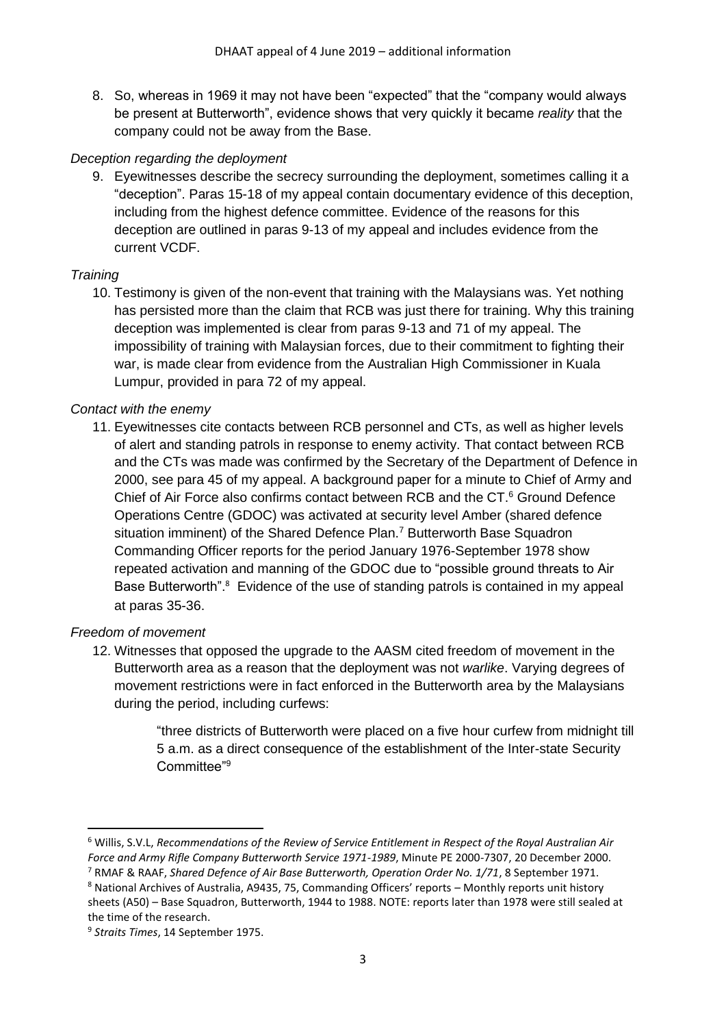8. So, whereas in 1969 it may not have been "expected" that the "company would always be present at Butterworth", evidence shows that very quickly it became *reality* that the company could not be away from the Base.

#### *Deception regarding the deployment*

9. Eyewitnesses describe the secrecy surrounding the deployment, sometimes calling it a "deception". Paras 15-18 of my appeal contain documentary evidence of this deception, including from the highest defence committee. Evidence of the reasons for this deception are outlined in paras 9-13 of my appeal and includes evidence from the current VCDF.

### *Training*

10. Testimony is given of the non-event that training with the Malaysians was. Yet nothing has persisted more than the claim that RCB was just there for training. Why this training deception was implemented is clear from paras 9-13 and 71 of my appeal. The impossibility of training with Malaysian forces, due to their commitment to fighting their war, is made clear from evidence from the Australian High Commissioner in Kuala Lumpur, provided in para 72 of my appeal.

### *Contact with the enemy*

11. Eyewitnesses cite contacts between RCB personnel and CTs, as well as higher levels of alert and standing patrols in response to enemy activity. That contact between RCB and the CTs was made was confirmed by the Secretary of the Department of Defence in 2000, see para 45 of my appeal. A background paper for a minute to Chief of Army and Chief of Air Force also confirms contact between RCB and the CT.<sup>6</sup> Ground Defence Operations Centre (GDOC) was activated at security level Amber (shared defence situation imminent) of the Shared Defence Plan.<sup>7</sup> Butterworth Base Squadron Commanding Officer reports for the period January 1976-September 1978 show repeated activation and manning of the GDOC due to "possible ground threats to Air Base Butterworth".<sup>8</sup> Evidence of the use of standing patrols is contained in my appeal at paras 35-36.

#### *Freedom of movement*

12. Witnesses that opposed the upgrade to the AASM cited freedom of movement in the Butterworth area as a reason that the deployment was not *warlike*. Varying degrees of movement restrictions were in fact enforced in the Butterworth area by the Malaysians during the period, including curfews:

> "three districts of Butterworth were placed on a five hour curfew from midnight till 5 a.m. as a direct consequence of the establishment of the Inter-state Security Committee"<sup>9</sup>

<sup>6</sup> Willis, S.V.L, *Recommendations of the Review of Service Entitlement in Respect of the Royal Australian Air Force and Army Rifle Company Butterworth Service 1971-1989*, Minute PE 2000-7307, 20 December 2000.

<sup>7</sup> RMAF & RAAF, *Shared Defence of Air Base Butterworth, Operation Order No. 1/71*, 8 September 1971.

<sup>8</sup> National Archives of Australia, A9435, 75, Commanding Officers' reports – Monthly reports unit history sheets (A50) – Base Squadron, Butterworth, 1944 to 1988. NOTE: reports later than 1978 were still sealed at the time of the research.

<sup>9</sup> *Straits Times*, 14 September 1975.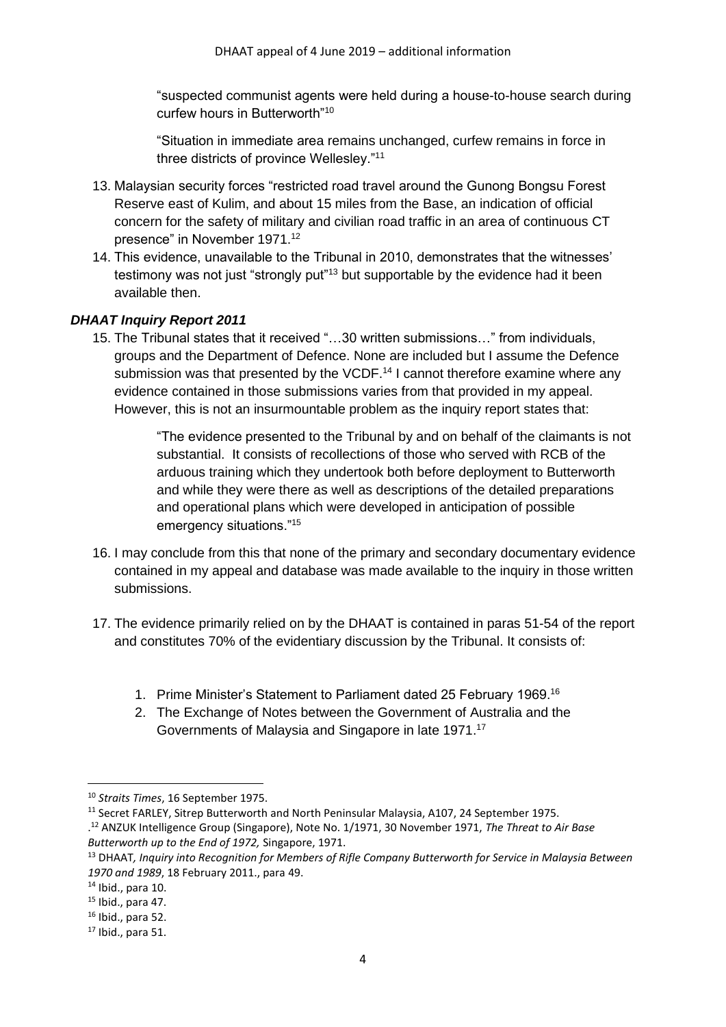"suspected communist agents were held during a house-to-house search during curfew hours in Butterworth"<sup>10</sup>

"Situation in immediate area remains unchanged, curfew remains in force in three districts of province Wellesley."<sup>11</sup>

- 13. Malaysian security forces "restricted road travel around the Gunong Bongsu Forest Reserve east of Kulim, and about 15 miles from the Base, an indication of official concern for the safety of military and civilian road traffic in an area of continuous CT presence" in November 1971. 12
- 14. This evidence, unavailable to the Tribunal in 2010, demonstrates that the witnesses' testimony was not just "strongly put"<sup>13</sup> but supportable by the evidence had it been available then.

### *DHAAT Inquiry Report 2011*

15. The Tribunal states that it received "…30 written submissions…" from individuals, groups and the Department of Defence. None are included but I assume the Defence submission was that presented by the VCDF.<sup>14</sup> I cannot therefore examine where any evidence contained in those submissions varies from that provided in my appeal. However, this is not an insurmountable problem as the inquiry report states that:

> "The evidence presented to the Tribunal by and on behalf of the claimants is not substantial. It consists of recollections of those who served with RCB of the arduous training which they undertook both before deployment to Butterworth and while they were there as well as descriptions of the detailed preparations and operational plans which were developed in anticipation of possible emergency situations."<sup>15</sup>

- 16. I may conclude from this that none of the primary and secondary documentary evidence contained in my appeal and database was made available to the inquiry in those written submissions.
- 17. The evidence primarily relied on by the DHAAT is contained in paras 51-54 of the report and constitutes 70% of the evidentiary discussion by the Tribunal. It consists of:
	- 1. Prime Minister's Statement to Parliament dated 25 February 1969.<sup>16</sup>
	- 2. The Exchange of Notes between the Government of Australia and the Governments of Malaysia and Singapore in late 1971. 17

<sup>10</sup> *Straits Times*, 16 September 1975.

<sup>11</sup> Secret FARLEY, Sitrep Butterworth and North Peninsular Malaysia, A107, 24 September 1975. . <sup>12</sup> ANZUK Intelligence Group (Singapore), Note No. 1/1971, 30 November 1971, *The Threat to Air Base* 

*Butterworth up to the End of 1972,* Singapore, 1971.

<sup>13</sup> DHAAT*, Inquiry into Recognition for Members of Rifle Company Butterworth for Service in Malaysia Between 1970 and 1989*, 18 February 2011., para 49.

<sup>14</sup> Ibid., para 10.

<sup>15</sup> Ibid., para 47.

 $16$  Ibid., para 52.

 $17$  Ibid., para 51.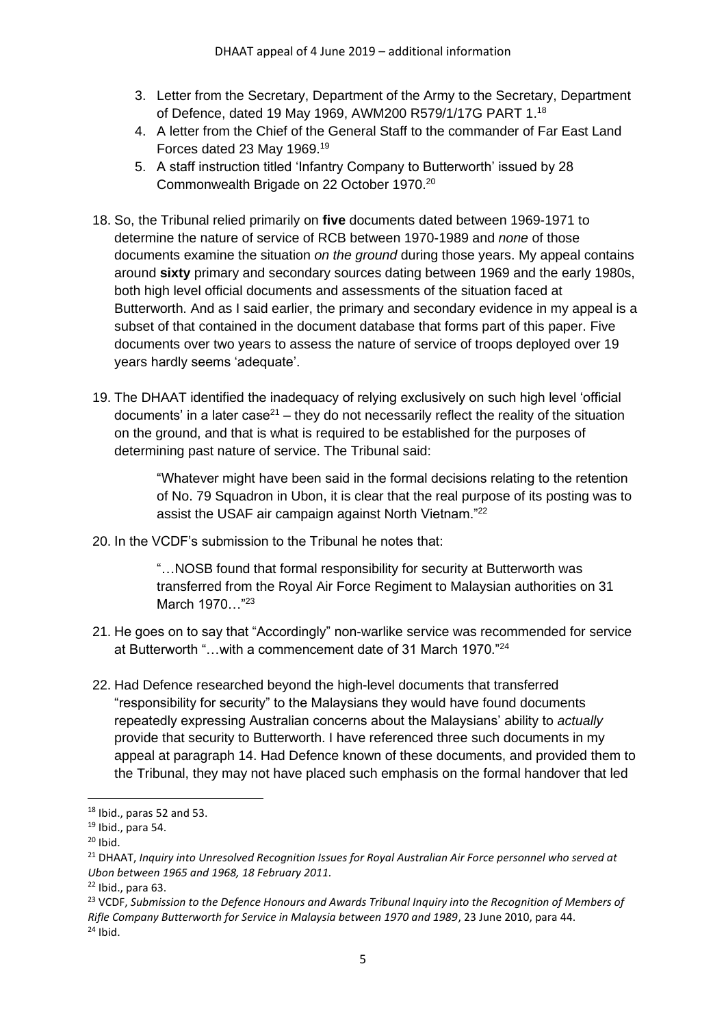- 3. Letter from the Secretary, Department of the Army to the Secretary, Department of Defence, dated 19 May 1969, AWM200 R579/1/17G PART 1.<sup>18</sup>
- 4. A letter from the Chief of the General Staff to the commander of Far East Land Forces dated 23 May 1969.<sup>19</sup>
- 5. A staff instruction titled 'Infantry Company to Butterworth' issued by 28 Commonwealth Brigade on 22 October 1970.<sup>20</sup>
- 18. So, the Tribunal relied primarily on **five** documents dated between 1969-1971 to determine the nature of service of RCB between 1970-1989 and *none* of those documents examine the situation *on the ground* during those years. My appeal contains around **sixty** primary and secondary sources dating between 1969 and the early 1980s, both high level official documents and assessments of the situation faced at Butterworth. And as I said earlier, the primary and secondary evidence in my appeal is a subset of that contained in the document database that forms part of this paper. Five documents over two years to assess the nature of service of troops deployed over 19 years hardly seems 'adequate'.
- 19. The DHAAT identified the inadequacy of relying exclusively on such high level 'official documents' in a later case<sup>21</sup> – they do not necessarily reflect the reality of the situation on the ground, and that is what is required to be established for the purposes of determining past nature of service. The Tribunal said:

"Whatever might have been said in the formal decisions relating to the retention of No. 79 Squadron in Ubon, it is clear that the real purpose of its posting was to assist the USAF air campaign against North Vietnam."<sup>22</sup>

20. In the VCDF's submission to the Tribunal he notes that:

"…NOSB found that formal responsibility for security at Butterworth was transferred from the Royal Air Force Regiment to Malaysian authorities on 31 March 1970..."<sup>23</sup>

- 21. He goes on to say that "Accordingly" non-warlike service was recommended for service at Butterworth "…with a commencement date of 31 March 1970."<sup>24</sup>
- 22. Had Defence researched beyond the high-level documents that transferred "responsibility for security" to the Malaysians they would have found documents repeatedly expressing Australian concerns about the Malaysians' ability to *actually* provide that security to Butterworth. I have referenced three such documents in my appeal at paragraph 14. Had Defence known of these documents, and provided them to the Tribunal, they may not have placed such emphasis on the formal handover that led

 $18$  Ibid., paras 52 and 53.

<sup>19</sup> Ibid., para 54.

 $20$  Ibid.

<sup>21</sup> DHAAT, *Inquiry into Unresolved Recognition Issues for Royal Australian Air Force personnel who served at Ubon between 1965 and 1968, 18 February 2011.*

 $22$  Ibid., para 63.

<sup>23</sup> VCDF, *Submission to the Defence Honours and Awards Tribunal Inquiry into the Recognition of Members of Rifle Company Butterworth for Service in Malaysia between 1970 and 1989*, 23 June 2010, para 44.  $24$  Ibid.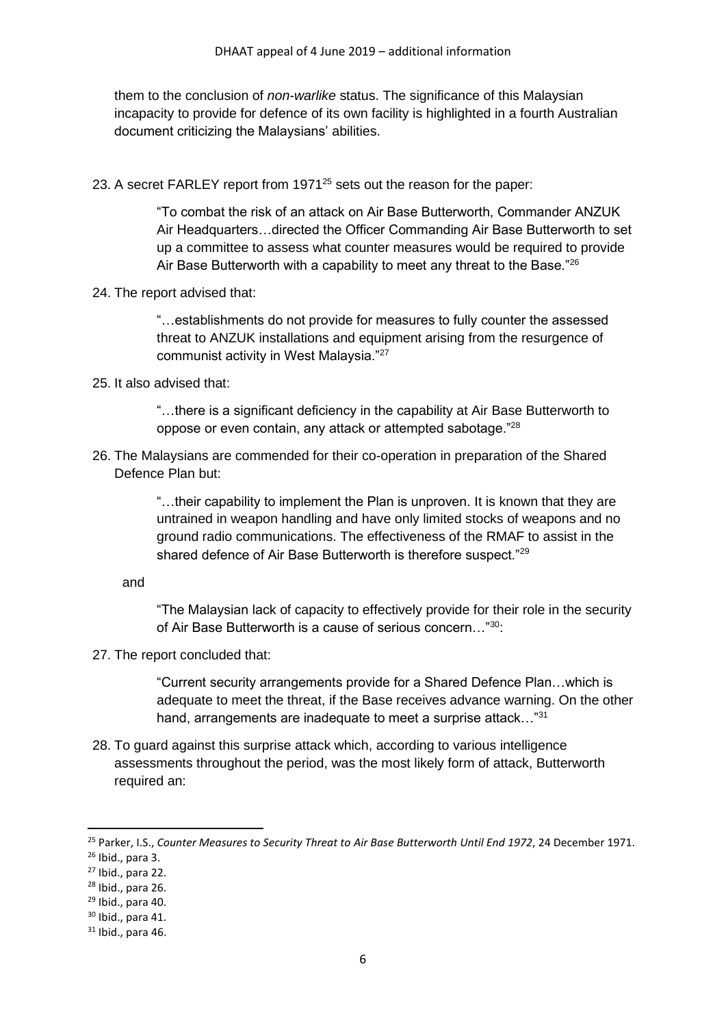them to the conclusion of *non-warlike* status. The significance of this Malaysian incapacity to provide for defence of its own facility is highlighted in a fourth Australian document criticizing the Malaysians' abilities.

23. A secret FARLEY report from 1971<sup>25</sup> sets out the reason for the paper:

"To combat the risk of an attack on Air Base Butterworth, Commander ANZUK Air Headquarters…directed the Officer Commanding Air Base Butterworth to set up a committee to assess what counter measures would be required to provide Air Base Butterworth with a capability to meet any threat to the Base."<sup>26</sup>

24. The report advised that:

"…establishments do not provide for measures to fully counter the assessed threat to ANZUK installations and equipment arising from the resurgence of communist activity in West Malaysia."<sup>27</sup>

25. It also advised that:

"…there is a significant deficiency in the capability at Air Base Butterworth to oppose or even contain, any attack or attempted sabotage."<sup>28</sup>

26. The Malaysians are commended for their co-operation in preparation of the Shared Defence Plan but:

> "…their capability to implement the Plan is unproven. It is known that they are untrained in weapon handling and have only limited stocks of weapons and no ground radio communications. The effectiveness of the RMAF to assist in the shared defence of Air Base Butterworth is therefore suspect."<sup>29</sup>

and

"The Malaysian lack of capacity to effectively provide for their role in the security of Air Base Butterworth is a cause of serious concern…"<sup>30</sup>:

27. The report concluded that:

"Current security arrangements provide for a Shared Defence Plan…which is adequate to meet the threat, if the Base receives advance warning. On the other hand, arrangements are inadequate to meet a surprise attack..."<sup>31</sup>

28. To guard against this surprise attack which, according to various intelligence assessments throughout the period, was the most likely form of attack, Butterworth required an:

<sup>25</sup> Parker, I.S., *Counter Measures to Security Threat to Air Base Butterworth Until End 1972*, 24 December 1971.

<sup>26</sup> Ibid., para 3.

<sup>27</sup> Ibid., para 22.

<sup>28</sup> Ibid., para 26.

 $29$  Ibid., para 40.

 $30$  Ibid., para 41.

 $31$  Ibid., para 46.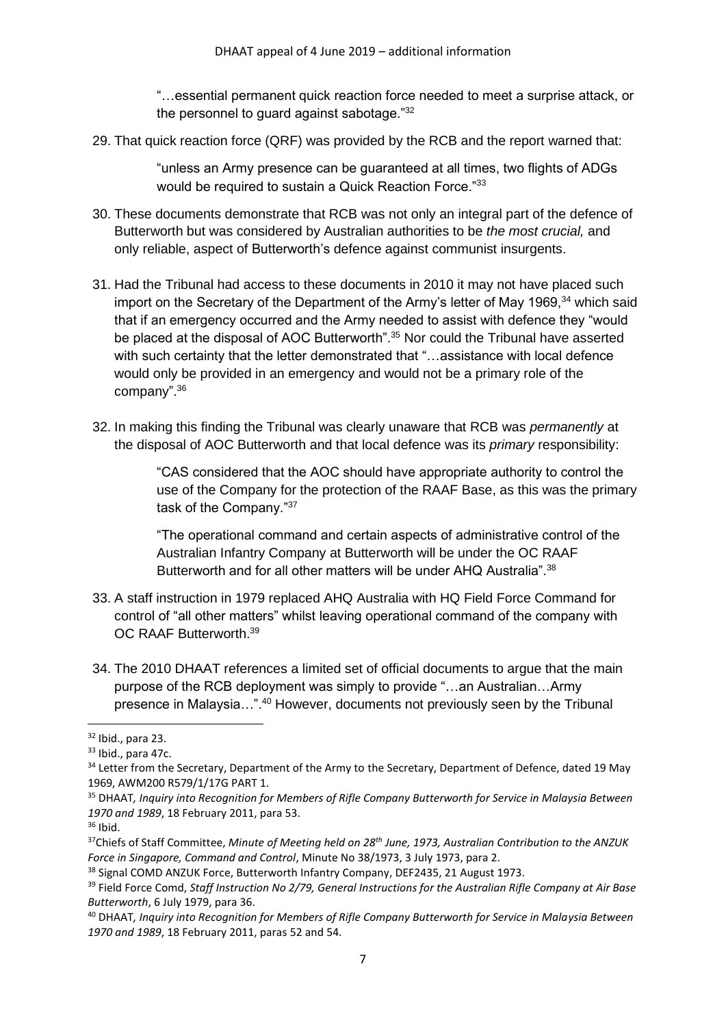"…essential permanent quick reaction force needed to meet a surprise attack, or the personnel to guard against sabotage."<sup>32</sup>

29. That quick reaction force (QRF) was provided by the RCB and the report warned that:

"unless an Army presence can be guaranteed at all times, two flights of ADGs would be required to sustain a Quick Reaction Force."<sup>33</sup>

- 30. These documents demonstrate that RCB was not only an integral part of the defence of Butterworth but was considered by Australian authorities to be *the most crucial,* and only reliable, aspect of Butterworth's defence against communist insurgents.
- 31. Had the Tribunal had access to these documents in 2010 it may not have placed such import on the Secretary of the Department of the Army's letter of May 1969,<sup>34</sup> which said that if an emergency occurred and the Army needed to assist with defence they "would be placed at the disposal of AOC Butterworth".<sup>35</sup> Nor could the Tribunal have asserted with such certainty that the letter demonstrated that "...assistance with local defence would only be provided in an emergency and would not be a primary role of the company".<sup>36</sup>
- 32. In making this finding the Tribunal was clearly unaware that RCB was *permanently* at the disposal of AOC Butterworth and that local defence was its *primary* responsibility:

"CAS considered that the AOC should have appropriate authority to control the use of the Company for the protection of the RAAF Base, as this was the primary task of the Company."<sup>37</sup>

"The operational command and certain aspects of administrative control of the Australian Infantry Company at Butterworth will be under the OC RAAF Butterworth and for all other matters will be under AHQ Australia".<sup>38</sup>

- 33. A staff instruction in 1979 replaced AHQ Australia with HQ Field Force Command for control of "all other matters" whilst leaving operational command of the company with OC RAAF Butterworth.<sup>39</sup>
- 34. The 2010 DHAAT references a limited set of official documents to argue that the main purpose of the RCB deployment was simply to provide "…an Australian…Army presence in Malaysia…".<sup>40</sup> However, documents not previously seen by the Tribunal

 $32$  Ibid., para 23.

<sup>33</sup> Ibid., para 47c.

<sup>&</sup>lt;sup>34</sup> Letter from the Secretary, Department of the Army to the Secretary, Department of Defence, dated 19 May 1969, AWM200 R579/1/17G PART 1.

<sup>35</sup> DHAAT*, Inquiry into Recognition for Members of Rifle Company Butterworth for Service in Malaysia Between 1970 and 1989*, 18 February 2011, para 53.

<sup>36</sup> Ibid.

<sup>37</sup>Chiefs of Staff Committee, *Minute of Meeting held on 28th June, 1973, Australian Contribution to the ANZUK Force in Singapore, Command and Control*, Minute No 38/1973, 3 July 1973, para 2.

<sup>&</sup>lt;sup>38</sup> Signal COMD ANZUK Force, Butterworth Infantry Company, DEF2435, 21 August 1973.

<sup>39</sup> Field Force Comd, *Staff Instruction No 2/79, General Instructions for the Australian Rifle Company at Air Base Butterworth*, 6 July 1979, para 36.

<sup>40</sup> DHAAT*, Inquiry into Recognition for Members of Rifle Company Butterworth for Service in Malaysia Between 1970 and 1989*, 18 February 2011, paras 52 and 54.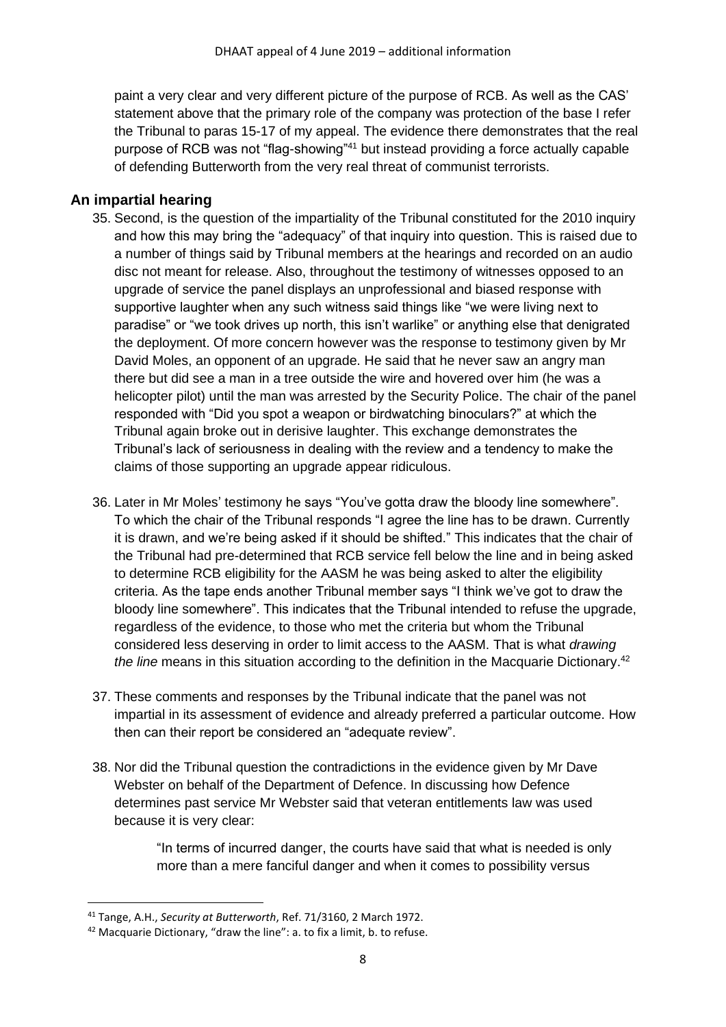paint a very clear and very different picture of the purpose of RCB. As well as the CAS' statement above that the primary role of the company was protection of the base I refer the Tribunal to paras 15-17 of my appeal. The evidence there demonstrates that the real purpose of RCB was not "flag-showing"<sup>41</sup> but instead providing a force actually capable of defending Butterworth from the very real threat of communist terrorists.

### **An impartial hearing**

- 35. Second, is the question of the impartiality of the Tribunal constituted for the 2010 inquiry and how this may bring the "adequacy" of that inquiry into question. This is raised due to a number of things said by Tribunal members at the hearings and recorded on an audio disc not meant for release. Also, throughout the testimony of witnesses opposed to an upgrade of service the panel displays an unprofessional and biased response with supportive laughter when any such witness said things like "we were living next to paradise" or "we took drives up north, this isn't warlike" or anything else that denigrated the deployment. Of more concern however was the response to testimony given by Mr David Moles, an opponent of an upgrade. He said that he never saw an angry man there but did see a man in a tree outside the wire and hovered over him (he was a helicopter pilot) until the man was arrested by the Security Police. The chair of the panel responded with "Did you spot a weapon or birdwatching binoculars?" at which the Tribunal again broke out in derisive laughter. This exchange demonstrates the Tribunal's lack of seriousness in dealing with the review and a tendency to make the claims of those supporting an upgrade appear ridiculous.
- 36. Later in Mr Moles' testimony he says "You've gotta draw the bloody line somewhere". To which the chair of the Tribunal responds "I agree the line has to be drawn. Currently it is drawn, and we're being asked if it should be shifted." This indicates that the chair of the Tribunal had pre-determined that RCB service fell below the line and in being asked to determine RCB eligibility for the AASM he was being asked to alter the eligibility criteria. As the tape ends another Tribunal member says "I think we've got to draw the bloody line somewhere". This indicates that the Tribunal intended to refuse the upgrade, regardless of the evidence, to those who met the criteria but whom the Tribunal considered less deserving in order to limit access to the AASM. That is what *drawing the line* means in this situation according to the definition in the Macquarie Dictionary. 42
- 37. These comments and responses by the Tribunal indicate that the panel was not impartial in its assessment of evidence and already preferred a particular outcome. How then can their report be considered an "adequate review".
- 38. Nor did the Tribunal question the contradictions in the evidence given by Mr Dave Webster on behalf of the Department of Defence. In discussing how Defence determines past service Mr Webster said that veteran entitlements law was used because it is very clear:

"In terms of incurred danger, the courts have said that what is needed is only more than a mere fanciful danger and when it comes to possibility versus

<sup>41</sup> Tange, A.H., *Security at Butterworth*, Ref. 71/3160, 2 March 1972.

<sup>42</sup> Macquarie Dictionary, "draw the line": a. to fix a limit, b. to refuse.